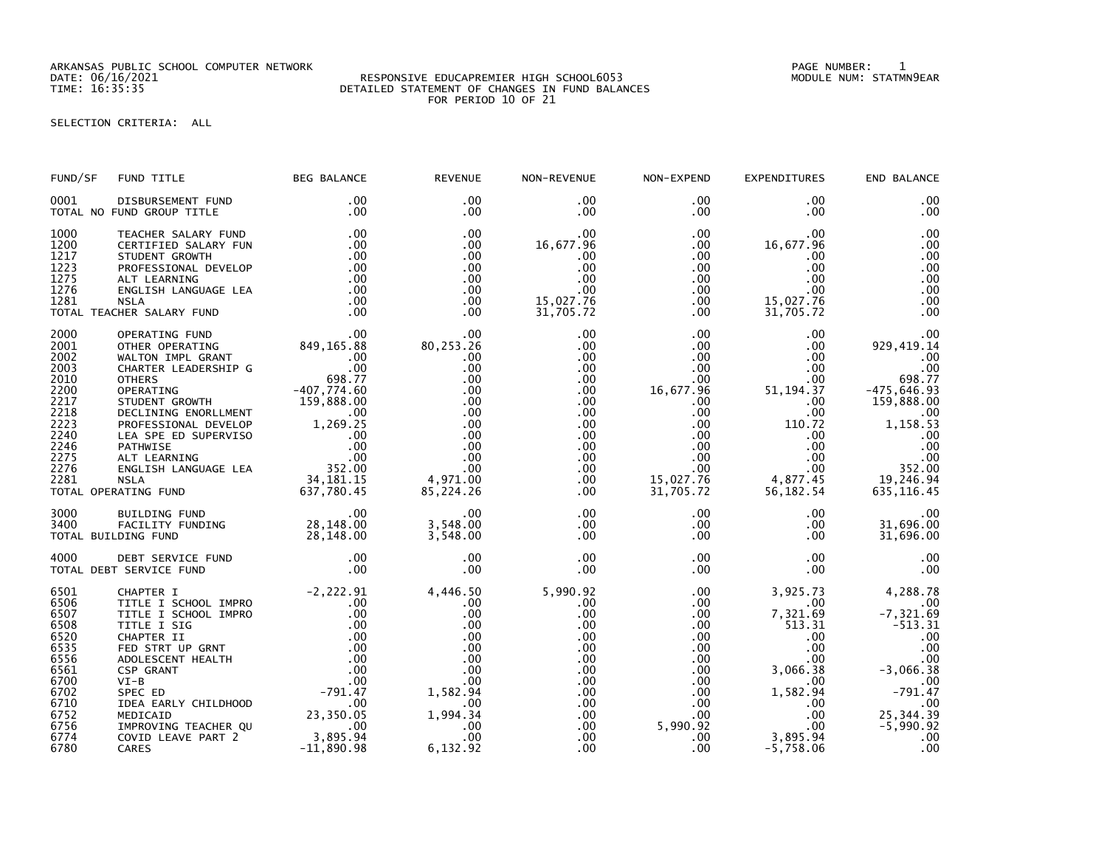ARKANSAS PUBLIC SCHOOL COMPUTER NETWORK PAGE NUMBER: 1

## DATE: 06/16/2021 RESPONSIVE EDUCAPREMIER HIGH SCHOOL6053 MODULE NUM: STATMN9EAR TIME: 16:35:35 DETAILED STATEMENT OF CHANGES IN FUND BALANCES FOR PERIOD 10 OF 21

SELECTION CRITERIA: ALL

| FUND/SF                                                                                                              | FUND TITLE                                                                                                                                                                                                                                                                                                                                                                  | <b>BEG BALANCE</b>                                                                                                                                                      | <b>REVENUE</b>                                                                                                            | NON-REVENUE                                                                                                                                    | NON-EXPEND                                                                                                                                                                                     | <b>EXPENDITURES</b>                                                                                                                                                 | END BALANCE                                                                                                                                                       |
|----------------------------------------------------------------------------------------------------------------------|-----------------------------------------------------------------------------------------------------------------------------------------------------------------------------------------------------------------------------------------------------------------------------------------------------------------------------------------------------------------------------|-------------------------------------------------------------------------------------------------------------------------------------------------------------------------|---------------------------------------------------------------------------------------------------------------------------|------------------------------------------------------------------------------------------------------------------------------------------------|------------------------------------------------------------------------------------------------------------------------------------------------------------------------------------------------|---------------------------------------------------------------------------------------------------------------------------------------------------------------------|-------------------------------------------------------------------------------------------------------------------------------------------------------------------|
| 0001                                                                                                                 | DISBURSEMENT FUND<br>TOTAL NO FUND GROUP TITLE                                                                                                                                                                                                                                                                                                                              | $.00 \,$<br>.00                                                                                                                                                         | $.00 \times$<br>.00                                                                                                       | .00<br>$.00 \,$                                                                                                                                | $.00 \,$<br>$.00 \,$                                                                                                                                                                           | $.00 \,$<br>.00.                                                                                                                                                    | .00<br>.00                                                                                                                                                        |
| 1000<br>1200<br>1217<br>1223<br>1275<br>1276<br>1281                                                                 | TEACHER SALARY FUND<br>CERTIFIED SALARY FUN<br>STUDENT GROWTH<br>PROFESSIONAL DEVELOP<br>ALT LEARNING<br>ENGLISH LANGUAGE LEA<br><b>NSLA</b><br>TOTAL TEACHER SALARY FUND                                                                                                                                                                                                   | .00<br>.00<br>.00<br>.00<br>.00<br>.00<br>.00<br>$\overline{\phantom{0}}$ .00                                                                                           | .00<br>.00.<br>.00<br>.00<br>.00<br>.00<br>.00<br>.00                                                                     | .00<br>16,677.96<br>.00<br>.00<br>.00<br>.00<br>15,027.76<br>31,705.72                                                                         | $.00 \,$<br>$.00 \,$<br>$.00 \,$<br>$.00 \,$<br>$.00 \,$<br>$.00 \,$<br>$.00 \,$<br>$.00 \,$                                                                                                   | .00<br>16,677.96<br>$.00 \,$<br>.00<br>.00<br>$.00 \,$<br>15,027.76<br>31,705.72                                                                                    | .00<br>.00<br>.00<br>.00<br>.00<br>.00<br>.00<br>.00                                                                                                              |
| 2000<br>2001<br>2002<br>2003<br>2010<br>2200<br>2217<br>2218<br>2223<br>2240<br>2246<br>2275<br>2276<br>2281         | OPERATING FUND<br>OTHER OPERATING<br>WALTON IMPL GRANT<br>CHARTER LEADERSHIP G<br><b>OTHERS</b><br>098.77<br>OPERATING 698.774.60<br>DECLINING ENORLLMENT 159,888.00<br>DECLINING ENORLLMENT 159,888.00<br>PROFESSIONAL DEVELOP 1,269.25<br>LEA SPE ED SUPERVISO 00<br>ALT LEARNING 00<br>ALT LEARNING 00<br>ENGLISH LANGUAGE LEA 352.00<br>NSLA 18<br>TOTAL OPERATING FUND | 00<br>849, 165. 88<br>00<br>09. 698. 77<br>098. 77<br>637,780.45                                                                                                        | .00<br>80,253.26<br>.00<br>.00<br>.00<br>.00<br>.00<br>.00<br>.00<br>.00<br>.00<br>.00<br>.00<br>4,971.00<br>85,224.26    | .00<br>.00<br>.00<br>.00.<br>$.00 \,$<br>$.00 \,$<br>$.00 \,$<br>$.00 \,$<br>.00<br>$.00 \,$<br>$.00 \,$<br>$.00 \,$<br>$.00 \,$<br>.00<br>.00 | .00 <sub>1</sub><br>$.00 \,$<br>.00 <sub>1</sub><br>$.00 \,$<br>.00<br>16,677.96<br>$.00 \,$<br>$.00 \,$<br>$.00 \,$<br>$.00 \,$<br>$.00 \,$<br>$.00 \,$<br>$.00 \,$<br>15,027.76<br>31,705.72 | .00<br>.00<br>.00<br>.00<br>.00<br>51, 194. 37<br>.00<br>$.00 \,$<br>110.72<br>.00<br>$.00 \,$<br>$.00 \,$<br>$.00 \,$<br>4,877.45<br>56,182.54                     | .00<br>929, 419.14<br>.00<br>.00<br>698.77<br>$-475,646.93$<br>159,888.00<br>.00<br>1,158.53<br>.00<br>.00<br>.00<br>352.00<br>19,246.94<br>635, 116.45           |
| 3000<br>3400                                                                                                         | BUILDING FUND<br>ENTLETING FOND<br>FACILITY FUNDING 28,148.00<br>DING FUND 28,148.00<br>TOTAL BUILDING FUND                                                                                                                                                                                                                                                                 | $\overline{\phantom{0}}$ .00                                                                                                                                            | .00<br>3,548.00<br>3,548.00                                                                                               | $.00 \,$<br>$.00 \,$<br>.00                                                                                                                    | $.00 \,$<br>$.00 \,$<br>$.00 \,$                                                                                                                                                               | $.00 \,$<br>$.00 \,$<br>$.00 \,$                                                                                                                                    | .00<br>31,696.00<br>31,696.00                                                                                                                                     |
| 4000                                                                                                                 | DEBT SERVICE FUND<br>TOTAL DEBT SERVICE FUND                                                                                                                                                                                                                                                                                                                                | $\overline{\phantom{0}}$ .00<br>.00                                                                                                                                     | .00<br>.00                                                                                                                | .00<br>.00                                                                                                                                     | $.00 \,$<br>$.00 \,$                                                                                                                                                                           | $.00 \,$<br>.00 <sub>1</sub>                                                                                                                                        | .00<br>.00                                                                                                                                                        |
| 6501<br>6506<br>6507<br>6508<br>6520<br>6535<br>6556<br>6561<br>6700<br>6702<br>6710<br>6752<br>6756<br>6774<br>6780 | CHAPTER I<br>TITLE I SCHOOL IMPRO<br>TITLE I SCHOOL IMPRO<br>TITLE I SIG<br>CHAPTER II<br>FED STRT UP GRNT<br>ADOLESCENT HEALTH<br><b>CSP GRANT</b><br>$VI-B$<br>SPEC ED<br>IDEA EARLY CHILDHOOD<br>MEDICAID<br>IMPROVING TEACHER QU<br>COVID LEAVE PART 2<br>CARES                                                                                                         | $-2,222.91$<br>.00<br>.00<br>.00<br>.00<br>.00<br>.00<br>.00<br>.00<br>.00<br>$-791.47$<br>$\overline{\phantom{0}}$ .00<br>23,350.05<br>.00<br>3,895.94<br>$-11,890.98$ | 4,446.50<br>.00<br>.00<br>.00<br>.00<br>.00<br>.00<br>.00<br>.00<br>1,582.94<br>.00<br>1,994.34<br>.00<br>.00<br>6,132.92 | 5,990.92<br>.00<br>.00<br>.00<br>.00<br>.00<br>.00<br>.00<br>.00.<br>.00<br>.00<br>.00<br>.00 <sub>1</sub><br>.00<br>.00                       | $.00 \,$<br>$.00 \,$<br>$.00 \,$<br>$.00 \,$<br>$.00 \cdot$<br>$.00 \,$<br>$.00 \,$<br>$.00 \,$<br>$.00 \,$<br>$.00 \,$<br>.00<br>$.00\,$<br>5,990.92<br>$.00 \,$<br>.00                       | 3,925.73<br>$.00 \,$<br>7,321.69<br>1513.31<br>$.00 \,$<br>$.00 \,$<br>.00<br>3,066.38<br>$.00 \,$<br>1,582.94<br>$.00 \,$<br>.00<br>.00<br>3,895.94<br>$-5,758.06$ | 4,288.78<br>.00<br>$-7, 321.69$<br>$-513.31$<br>.00<br>.00<br>.00<br>$-3,066.\overline{38}$<br>.00<br>$-791.47$<br>.00<br>25, 344.39<br>$-5,990.92$<br>.00<br>.00 |